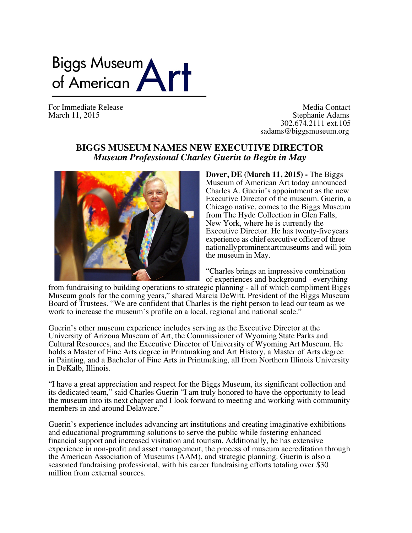## Biggs Museum<br>of American

For Immediate Release Media Contact<br>
Media Contact<br>
Stephanie Adams March 11, 2015 Stephanie Adams 302.674.2111 ext.105 sadams@biggsmuseum.org

## **BIGGS MUSEUM NAMES NEW EXECUTIVE DIRECTOR** *Museum Professional Charles Guerin to Begin in May*



**Dover, DE (March 11, 2015) -** The Biggs Museum of American Art today announced Charles A. Guerin's appointment as the new Executive Director of the museum. Guerin, a Chicago native, comes to the Biggs Museum from The Hyde Collection in Glen Falls, New York, where he is currently the Executive Director. He has twenty-fiveyears experience as chief executive officer of three nationallyprominentartmuseums and will join the museum in May.

"Charles brings an impressive combination of experiences and background - everything

from fundraising to building operations to strategic planning - all of which compliment Biggs Museum goals for the coming years," shared Marcia DeWitt, President of the Biggs Museum Board of Trustees. "We are confident that Charles is the right person to lead our team as we work to increase the museum's profile on a local, regional and national scale."

Guerin's other museum experience includes serving as the Executive Director at the University of Arizona Museum of Art, the Commissioner of Wyoming State Parks and Cultural Resources, and the Executive Director of University of Wyoming Art Museum. He holds a Master of Fine Arts degree in Printmaking and Art History, a Master of Arts degree in Painting, and a Bachelor of Fine Arts in Printmaking, all from Northern Illinois University in DeKalb, Illinois.

"I have a great appreciation and respect for the Biggs Museum, its significant collection and its dedicated team," said Charles Guerin "I am truly honored to have the opportunity to lead the museum into its next chapter and I look forward to meeting and working with community members in and around Delaware."

Guerin's experience includes advancing art institutions and creating imaginative exhibitions and educational programming solutions to serve the public while fostering enhanced financial support and increased visitation and tourism. Additionally, he has extensive experience in non-profit and asset management, the process of museum accreditation through the American Association of Museums (AAM), and strategic planning. Guerin is also a seasoned fundraising professional, with his career fundraising efforts totaling over \$30 million from external sources.